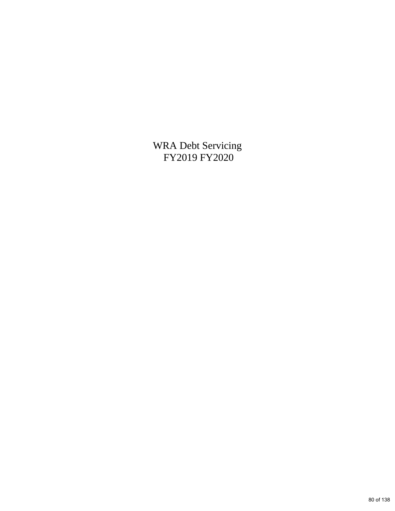WRA Debt Servicing FY2019 FY2020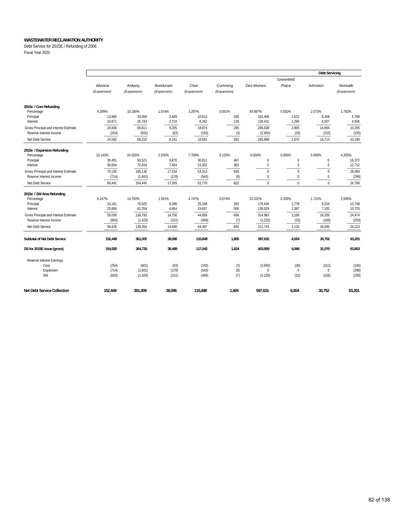Debt Service for 2015E / Refunding of 2006

Fiscal Year 2020

|                                                                  |                  |                     |                 |                  |             |                       |                              | <b>Debt Servicing</b> |                  |
|------------------------------------------------------------------|------------------|---------------------|-----------------|------------------|-------------|-----------------------|------------------------------|-----------------------|------------------|
|                                                                  |                  |                     |                 |                  |             |                       | Greenfield                   |                       |                  |
|                                                                  | Altoona          | Ankeny              | Bondurant       | Clive            | Cumming     | Des Moines            | Plaza                        | Johnston              | Norwalk          |
|                                                                  | (Expansion)      | (Expansion)         | (Expansion)     | (Expansion)      | (Expansion) |                       |                              |                       | (Expansion)      |
| 2015e / Core Refunding                                           |                  |                     |                 |                  |             |                       |                              |                       |                  |
| Percentage                                                       | 4.299%           | 10.180%             | 1.074%          | 3.267%           | 0.051%      | 49.997%               | 0.502%                       | 2.573%                | 1.782%           |
| Principal                                                        | 13,965           | 33,068              | 3,489           | 10,612           | 166         | 162,406               | 1,631                        | 8,358                 | 5,789            |
| Interest                                                         | 10,871           | 25,743              | 2,716           | 8,262            | 129         | 126,431               | 1,269                        | 6,507                 | 4,506            |
| Gross Principal and Interest Estimate<br>Reserve Interest Income | 24,836<br>(254)  | 58,811<br>(601)     | 6,205           | 18,874<br>(193)  | 295         | 288,838               | 2,900                        | 14,864<br>(152)       | 10,295<br>(105)  |
|                                                                  |                  |                     | (63)            |                  | (3)         | (2,950)               | (30)                         |                       |                  |
| Net Debt Service                                                 | 24,582           | 58,210              | 6.141           | 18.681           | 292         | 285,888               | 2,870                        | 14,713                | 10,190           |
| 2015e / Expansion Refunding                                      |                  |                     |                 |                  |             |                       |                              |                       |                  |
| Percentage                                                       | 10.143%          | 24.020%             | 2.535%          | 7.708%           | 0.120%      | 0.000%                | 0.000%                       | 0.000%                | 4.205%           |
| Principal                                                        | 39,491           | 93,521<br>72,616    | 9,870<br>7,664  | 30,011<br>23,302 | 467<br>363  | $\bf{0}$<br>$\pmb{0}$ | $\mathbf{0}$<br>$\mathbf{0}$ | 0<br>$\bf 0$          | 16,372<br>12,712 |
| Interest                                                         | 30,664           |                     |                 |                  |             |                       |                              |                       |                  |
| Gross Principal and Interest Estimate<br>Reserve Interest Income | 70,155<br>(714)  | 166,136<br>(1,691)  | 17,534<br>(178) | 53,313<br>(543)  | 830<br>(8)  | $\pmb{0}$<br>$\bf{0}$ | $\mathbf{0}$<br>$\mathbf{0}$ | $\mathbf 0$<br>0      | 29,084<br>(296)  |
|                                                                  | 69,441           | 164,445             | 17,355          | 52,770           | 822         | $\mathbf 0$           | $\Omega$                     | $\mathbf 0$           | 28,788           |
| Net Debt Service                                                 |                  |                     |                 |                  |             |                       |                              |                       |                  |
| 2015e / SW Area Refunding                                        |                  |                     |                 |                  |             |                       |                              |                       |                  |
| Percentage                                                       | 6.247%           | 14.793%             | 1.561%          | 4.747%           | 0.074%      | 33.332%               | 0.335%                       | 1.715%                | 2.590%           |
| Principal<br>Interest                                            | 33,161<br>25,869 | 78,525<br>61,258    | 8,286<br>6,464  | 25,198<br>19,657 | 393<br>306  | 176,934<br>138,029    | 1,778<br>1,387               | 9,104<br>7,102        | 13,748<br>10,725 |
|                                                                  |                  |                     |                 |                  |             |                       |                              |                       |                  |
| Gross Principal and Interest Estimate<br>Reserve Interest Income | 59,030<br>(603)  | 139,783<br>(1, 429) | 14,750<br>(151) | 44,856<br>(459)  | 699<br>(7)  | 314,963<br>(3,220)    | 3,166<br>(32)                | 16,205<br>(166)       | 24,474<br>(250)  |
| Net Debt Service                                                 | 58,426           | 138,354             | 14,600          | 44,397           | 692         | 311,743               | 3,133                        | 16,040                | 24,223           |
|                                                                  |                  |                     |                 |                  |             |                       |                              |                       |                  |
| <b>Subtotal of Net Debt Service</b>                              | 152.449          | 361,009             | 38,096          | 115,848          | 1.805       | 597,631               | 6,004                        | 30,752                | 63,201           |
| DS for 2015E issue (gross)                                       | 154,020          | 364,730             | 38,488          | 117,042          | 1,824       | 603,800               | 6,066                        | 31,070                | 63,853           |
| Reserve Interest Earnings                                        |                  |                     |                 |                  |             |                       |                              |                       |                  |
| Core                                                             | (254)            | (601)               | (63)            | (193)            | (3)         | (2,950)               | (30)                         | (152)                 | (105)            |
| Expansion                                                        | (714)            | (1,691)             | (178)           | (543)            | (8)         | $\mathbf{0}$          | $\mathbf{0}$                 | $\mathbf{0}$          | (296)            |
| <b>SW</b>                                                        | (603)            | (1, 429)            | (151)           | (459)            | (7)         | (3,220)               | (32)                         | (166)                 | (250)            |
| <b>Net Debt Service Collection</b>                               | 152.449          | 361.009             | 38,096          | 115,848          | 1.805       | 597,631               | 6.004                        | 30.752                | 63,201           |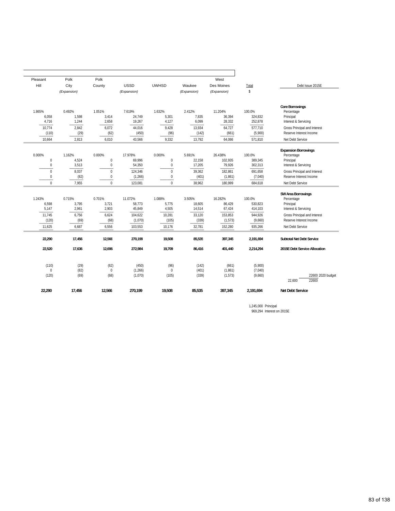|                                                                                |                               | West                           |                            |                                       |                               | Polk                           | Polk                     | Pleasant                             |
|--------------------------------------------------------------------------------|-------------------------------|--------------------------------|----------------------------|---------------------------------------|-------------------------------|--------------------------------|--------------------------|--------------------------------------|
| Debt Issue 2015E                                                               | Total                         | Des Moines                     | Waukee                     | <b>UWHSD</b>                          | <b>USSD</b>                   | County                         | City                     | Hill                                 |
|                                                                                | \$                            | (Expansion)                    | (Expansion)                |                                       | (Expansion)                   |                                | (Expansion)              |                                      |
| <b>Core Borrowings</b><br>Percentage<br>Principal<br>Interest & Servicing      | 100.0%<br>324,832<br>252,878  | 11.204%<br>36,394<br>28,332    | 2.412%<br>7,835<br>6,099   | 1.632%<br>5,301<br>4,127              | 7.619%<br>24,749<br>19,267    | 1.051%<br>3,414<br>2,658       | 0.492%<br>1,598<br>1,244 | 1.865%<br>6,058<br>4,716             |
| Gross Principal and Interest<br>Reserve Interest Income                        | 577,710<br>(5,900)            | 64,727<br>(661)                | 13,934<br>(142)            | 9,428<br>(96)                         | 44,016<br>(450)               | 6,072<br>(62)                  | 2,842<br>(29)            | 10.774<br>(110)                      |
| Net Debt Service                                                               | 571,810                       | 64,066                         | 13,792                     | 9,332                                 | 43,566                        | 6,010                          | 2,813                    | 10,664                               |
| <b>Expansion Borrowings</b><br>Percentage<br>Principal<br>Interest & Servicing | 100.0%<br>389,345<br>302,313  | 26.438%<br>102.935<br>79,926   | 5.691%<br>22,158<br>17,205 | 0.000%<br>$\boldsymbol{0}$<br>$\bf 0$ | 17.978%<br>69,996<br>54,350   | 0.000%<br>$\bf 0$<br>$\pmb{0}$ | 1.162%<br>4,524<br>3,513 | 0.000%<br>$\mathbf 0$<br>$\mathbf 0$ |
| Gross Principal and Interest<br>Reserve Interest Income                        | 691,658<br>(7,040)            | 182,861<br>(1, 861)            | 39,362<br>(401)            | $\Omega$<br>$\boldsymbol{0}$          | 124,346<br>(1,266)            | $\mathbf{0}$<br>$\bf{0}$       | 8,037<br>(82)            | $\Omega$<br>0                        |
| Net Debt Service                                                               | 684,618                       | 180.999                        | 38,962                     | $\Omega$                              | 123,081                       | $\Omega$                       | 7,955                    | $\Omega$                             |
| SW Area Borrowings<br>Percentage<br>Principal<br>Interest & Servicing          | 100.0%<br>530.823<br>414,103  | 16.282%<br>86.429<br>67,424    | 3.505%<br>18.605<br>14,514 | 1.088%<br>5.775<br>4,505              | 11.072%<br>58.773<br>45,849   | 0.701%<br>3.721<br>2,903       | 0.715%<br>3.795<br>2,961 | 1.243%<br>6.598<br>5,147             |
| Gross Principal and Interest<br>Reserve Interest Income<br>Net Debt Service    | 944.926<br>(9,660)<br>935,266 | 153.853<br>(1, 573)<br>152,280 | 33,120<br>(339)<br>32,781  | 10,281<br>(105)<br>10,176             | 104,622<br>(1,070)<br>103,553 | 6,624<br>(68)<br>6,556         | 6.756<br>(69)<br>6,687   | 11.745<br>(120)<br>11,625            |
| <b>Subtotal Net Debt Service</b>                                               | 2,191,694                     | 397.345                        | 85,535                     | 19.508                                | 270,199                       | 12,566                         | 17,456                   | 22,290                               |
| 2015E Debt Service Allocation                                                  | 2,214,294                     | 401,440                        | 86,416                     | 19,709                                | 272,984                       | 12,696                         | 17,636                   | 22,520                               |
| 22600 2020 budget<br>22,600<br>22600                                           | (5,900)<br>(7,040)<br>(9,660) | (661)<br>(1, 861)<br>(1, 573)  | (142)<br>(401)<br>(339)    | (96)<br>$\mathbf{0}$<br>(105)         | (450)<br>(1,266)<br>(1,070)   | (62)<br>$\mathbf{0}$<br>(68)   | (29)<br>(82)<br>(69)     | (110)<br>$\Omega$<br>(120)           |
| <b>Net Debt Service</b>                                                        | 2.191.694                     | 397.345                        | 85,535                     | 19,508                                | 270.199                       | 12.566                         | 17,456                   | 22,290                               |

1,245,000 Principal 969,294 Interest on 2015E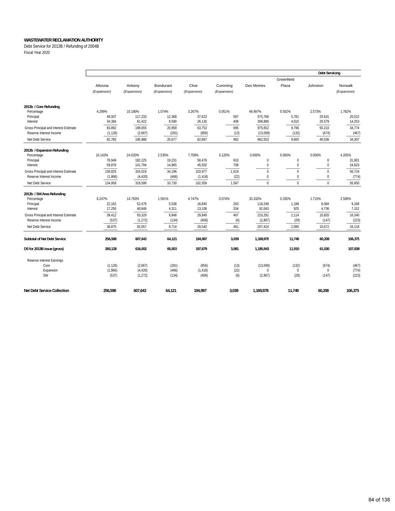Debt Service for 2013B / Refunding of 2004B

Fiscal Year 2020

|                                                                  |                  |                    |                |                  |             |                    |               | <b>Debt Servicing</b> |                 |
|------------------------------------------------------------------|------------------|--------------------|----------------|------------------|-------------|--------------------|---------------|-----------------------|-----------------|
|                                                                  |                  |                    |                |                  |             |                    | Greenfield    |                       |                 |
|                                                                  | Altoona          | Ankeny             | Bondurant      | Clive            | Cumming     | Des Moines         | Plaza         | Johnston              | Norwalk         |
|                                                                  | (Expansion)      | (Expansion)        | (Expansion)    | (Expansion)      | (Expansion) |                    |               |                       | (Expansion)     |
| 2013b / Core Refunding                                           |                  |                    |                |                  |             |                    |               |                       |                 |
| Percentage                                                       | 4.299%           | 10.180%            | 1.074%         | 3.267%           | 0.051%      | 49.997%            | 0.502%        | 2.573%                | 1.782%          |
| Principal                                                        | 49,507           | 117,233            | 12,368         | 37,623           | 587         | 575,766            | 5,781         | 29,631                | 20,522          |
| Interest                                                         | 34,384           | 81,422             | 8,590          | 26,130           | 408         | 399,886            | 4,015         | 20,579                | 14,253          |
| Gross Principal and Interest Estimate                            | 83,892           | 198,655            | 20,958         | 63,753           | 995         | 975,652            | 9,796         | 50,210                | 34,774          |
| Reserve Interest Income                                          | (1, 126)         | (2,667)            | (281)          | (856)            | (13)        | (13,099)           | (132)         | (674)                 | (467)           |
| Net Debt Service                                                 | 82,765           | 195,988            | 20,677         | 62,897           | 982         | 962,553            | 9,665         | 49,536                | 34,307          |
| 2013b / Expansion Refunding                                      |                  |                    |                |                  |             |                    |               |                       |                 |
| Percentage                                                       | 10.143%          | 24.020%            | 2.535%         | 7.708%           | 0.120%      | 0.000%             | 0.000%        | 0.000%                | 4.205%          |
| Principal                                                        | 76,949           | 182,225            | 19,231         | 58,476           | 910         | $\mathbf 0$        | $\mathbf 0$   | $\bf{0}$              | 31,901          |
| Interest                                                         | 59,876           | 141,794            | 14,965         | 45,502           | 708         | $\pmb{0}$          | 0             | $\mathbf{0}$          | 24,823          |
| Gross Principal and Interest Estimate                            | 136,825          | 324,019            | 34,196         | 103,977          | 1,619       | $\mathbf{0}$       | $\Omega$      | $\mathbf{0}$          | 56,724          |
| Reserve Interest Income                                          | (1,866)          | (4, 420)           | (466)          | (1, 418)         | (22)        | $\mathbf 0$        | $\Omega$      | 0                     | (774)           |
| Net Debt Service                                                 | 134,958          | 319,599            | 33,730         | 102,559          | 1,597       | $\mathbf{0}$       | $\Omega$      | $\Omega$              | 55,950          |
| 2013b / SW Area Refunding                                        |                  |                    |                |                  |             |                    |               |                       |                 |
| Percentage                                                       | 6.247%           | 14.793%            | 1.561%         | 4.747%           | 0.074%      | 33.332%            | 0.335%        | 1.715%                | 2.590%          |
| Principal<br>Interest                                            | 22,162<br>17,250 | 52,479<br>40,849   | 5,538<br>4,311 | 16,840<br>13,108 | 263<br>204  | 118,248<br>92,043  | 1,188<br>925  | 6,084<br>4,736        | 9,188<br>7,152  |
|                                                                  |                  |                    |                |                  |             |                    |               |                       |                 |
| Gross Principal and Interest Estimate<br>Reserve Interest Income | 39,412<br>(537)  | 93,329<br>(1, 272) | 9.848<br>(134) | 29,949<br>(408)  | 467         | 210,291<br>(2,867) | 2,114<br>(29) | 10,820<br>(147)       | 16,340<br>(223) |
|                                                                  |                  |                    |                |                  | (6)         |                    |               |                       |                 |
| Net Debt Service                                                 | 38,875           | 92,057             | 9,714          | 29,540           | 461         | 207,424            | 2,085         | 10,672                | 16,118          |
| Subtotal of Net Debt Service                                     | 256,598          | 607,643            | 64,121         | 194,997          | 3,039       | 1,169,978          | 11,749        | 60,208                | 106,375         |
| DS for 2013B issue (gross)                                       | 260,128          | 616,002            | 65,003         | 197,679          | 3,081       | 1,185,943          | 11,910        | 61,030                | 107,838         |
| Reserve Interest Earnings                                        |                  |                    |                |                  |             |                    |               |                       |                 |
| Core                                                             | (1, 126)         | (2,667)            | (281)          | (856)            | (13)        | (13,099)           | (132)         | (674)                 | (467)           |
| Expansion                                                        | (1,866)          | (4, 420)           | (466)          | (1, 418)         | (22)        | $\Omega$           | $\mathbf 0$   | $\mathbf 0$           | (774)           |
| <b>SW</b>                                                        | (537)            | (1, 272)           | (134)          | (408)            | (6)         | (2,867)            | (29)          | (147)                 | (223)           |
| <b>Net Debt Service Collection</b>                               | 256.598          | 607.643            | 64,121         | 194,997          | 3,039       | 1,169,978          | 11,749        | 60,208                | 106,375         |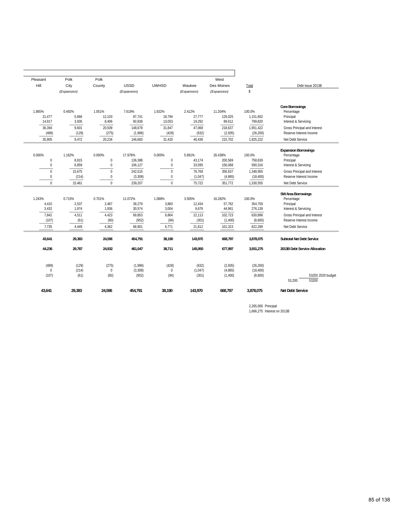| Pleasant<br>Polk<br>Polk<br>West<br>Hill<br>City<br><b>USSD</b><br><b>UWHSD</b><br>County<br>Waukee<br>Des Moines<br>Total<br>Debt Issue 2013B<br>$\mathbb{S}$<br>(Expansion)<br>(Expansion)<br>(Expansion)<br>(Expansion)<br><b>Core Borrowings</b><br>1.865%<br>0.492%<br>1.051%<br>7.619%<br>1.632%<br>2.412%<br>11.204%<br>100.0%<br>Percentage<br>21,477<br>5,666<br>12,103<br>87,741<br>18,794<br>27,777<br>129,025<br>1,151,602<br>Principal<br>14,917<br>3,935<br>60,938<br>19,292<br>799,820<br>8,406<br>13,053<br>89,612<br>Interest & Servicing<br>9,601<br>36,394<br>20,509<br>148,679<br>31,847<br>47,068<br>218,637<br>1,951,422<br>Gross Principal and Interest<br>(129)<br>Reserve Interest Income<br>(489)<br>(275)<br>(1,996)<br>(428)<br>(632)<br>(2,935)<br>(26, 200)<br>1,925,222<br>35,905<br>9,472<br>20,234<br>146,683<br>31,420<br>46,436<br>215,702<br>Net Debt Service<br><b>Expansion Borrowings</b><br>0.000%<br>0.000%<br>0.000%<br>5.691%<br>100.0%<br>1.162%<br>17.978%<br>26.438%<br>Percentage<br>$\pmb{0}$<br>$\pmb{0}$<br>8,815<br>136,388<br>$\boldsymbol{0}$<br>43,174<br>200,569<br>758,639<br>Principal<br>$\mathbf{0}$<br>6,859<br>$\bf 0$<br>106,127<br>0<br>33,595<br>156,068<br>590,316<br>Interest & Servicing<br>$\mathbf{0}$<br>$\mathbf{0}$<br>15.675<br>242,515<br>$\mathbf{0}$<br>76.769<br>356.637<br>1.348.955<br>Gross Principal and Interest<br>(214)<br>Reserve Interest Income<br>0<br>$\bf{0}$<br>(3,308)<br>$\mathbf 0$<br>(1,047)<br>(4, 865)<br>(18, 400)<br>$\Omega$<br>$\Omega$<br>$\Omega$<br>15.461<br>239.207<br>75.722<br>351.772<br>1,330,555<br>Net Debt Service<br><b>SW Area Borrowings</b><br>1.243%<br>0.715%<br>0.701%<br>11.072%<br>1.088%<br>3.505%<br>16.282%<br>100.0%<br>Percentage<br>2,537<br>2.487<br>39.279<br>3,860<br>57.762<br>354.759<br>4,410<br>12.434<br>Principal<br>3,432<br>1,974<br>1,936<br>30,574<br>3,004<br>9,679<br>44,961<br>276,139<br>Interest & Servicing<br>4,511<br>4,423<br>69,853<br>7.842<br>6,864<br>22,113<br>102,723<br>630,898<br>Gross Principal and Interest<br>(107)<br>(61)<br>(60)<br>(952)<br>(94)<br>(301)<br>(1,400)<br>(8,600)<br>Reserve Interest Income<br>7,735<br>4,362<br>68,901<br>622,298<br>4,449<br>6,771<br>21,812<br>101,323<br>Net Debt Service<br>43,641<br>29,383<br>24,596<br>454,791<br>38,190<br>143,970<br>668,797<br>3,878,075<br>Subtotal Net Debt Service<br>44,236<br>29,787<br>24,932<br>461,047<br>38,711<br>145,950<br>677,997<br>3,931,275<br>2013B Debt Service Allocation<br>(129)<br>(489)<br>(275)<br>(1,996)<br>(428)<br>(632)<br>(2,935)<br>(26, 200)<br>(214)<br>$\bf 0$<br>(3,308)<br>$\boldsymbol{0}$<br>(1,047)<br>(4, 865)<br>(18, 400)<br>$\mathbf 0$<br>(60)<br>(952)<br>(94)<br>(301)<br>(107)<br>(61)<br>(1,400)<br>(8,600)<br>53,200<br>53200<br>43.641<br>29,383<br>24.596<br>143.970<br>3.878.075<br>Net Debt Service<br>454.791<br>38.190<br>668.797 |  |  |  |  |                   |
|---------------------------------------------------------------------------------------------------------------------------------------------------------------------------------------------------------------------------------------------------------------------------------------------------------------------------------------------------------------------------------------------------------------------------------------------------------------------------------------------------------------------------------------------------------------------------------------------------------------------------------------------------------------------------------------------------------------------------------------------------------------------------------------------------------------------------------------------------------------------------------------------------------------------------------------------------------------------------------------------------------------------------------------------------------------------------------------------------------------------------------------------------------------------------------------------------------------------------------------------------------------------------------------------------------------------------------------------------------------------------------------------------------------------------------------------------------------------------------------------------------------------------------------------------------------------------------------------------------------------------------------------------------------------------------------------------------------------------------------------------------------------------------------------------------------------------------------------------------------------------------------------------------------------------------------------------------------------------------------------------------------------------------------------------------------------------------------------------------------------------------------------------------------------------------------------------------------------------------------------------------------------------------------------------------------------------------------------------------------------------------------------------------------------------------------------------------------------------------------------------------------------------------------------------------------------------------------------------------------------------------------------------------------------------------------------------------------------------------------------------------------------------------------------------------------------------------------------------------------------------------------------------------------------------|--|--|--|--|-------------------|
|                                                                                                                                                                                                                                                                                                                                                                                                                                                                                                                                                                                                                                                                                                                                                                                                                                                                                                                                                                                                                                                                                                                                                                                                                                                                                                                                                                                                                                                                                                                                                                                                                                                                                                                                                                                                                                                                                                                                                                                                                                                                                                                                                                                                                                                                                                                                                                                                                                                                                                                                                                                                                                                                                                                                                                                                                                                                                                                           |  |  |  |  |                   |
|                                                                                                                                                                                                                                                                                                                                                                                                                                                                                                                                                                                                                                                                                                                                                                                                                                                                                                                                                                                                                                                                                                                                                                                                                                                                                                                                                                                                                                                                                                                                                                                                                                                                                                                                                                                                                                                                                                                                                                                                                                                                                                                                                                                                                                                                                                                                                                                                                                                                                                                                                                                                                                                                                                                                                                                                                                                                                                                           |  |  |  |  |                   |
|                                                                                                                                                                                                                                                                                                                                                                                                                                                                                                                                                                                                                                                                                                                                                                                                                                                                                                                                                                                                                                                                                                                                                                                                                                                                                                                                                                                                                                                                                                                                                                                                                                                                                                                                                                                                                                                                                                                                                                                                                                                                                                                                                                                                                                                                                                                                                                                                                                                                                                                                                                                                                                                                                                                                                                                                                                                                                                                           |  |  |  |  |                   |
|                                                                                                                                                                                                                                                                                                                                                                                                                                                                                                                                                                                                                                                                                                                                                                                                                                                                                                                                                                                                                                                                                                                                                                                                                                                                                                                                                                                                                                                                                                                                                                                                                                                                                                                                                                                                                                                                                                                                                                                                                                                                                                                                                                                                                                                                                                                                                                                                                                                                                                                                                                                                                                                                                                                                                                                                                                                                                                                           |  |  |  |  |                   |
|                                                                                                                                                                                                                                                                                                                                                                                                                                                                                                                                                                                                                                                                                                                                                                                                                                                                                                                                                                                                                                                                                                                                                                                                                                                                                                                                                                                                                                                                                                                                                                                                                                                                                                                                                                                                                                                                                                                                                                                                                                                                                                                                                                                                                                                                                                                                                                                                                                                                                                                                                                                                                                                                                                                                                                                                                                                                                                                           |  |  |  |  |                   |
|                                                                                                                                                                                                                                                                                                                                                                                                                                                                                                                                                                                                                                                                                                                                                                                                                                                                                                                                                                                                                                                                                                                                                                                                                                                                                                                                                                                                                                                                                                                                                                                                                                                                                                                                                                                                                                                                                                                                                                                                                                                                                                                                                                                                                                                                                                                                                                                                                                                                                                                                                                                                                                                                                                                                                                                                                                                                                                                           |  |  |  |  |                   |
|                                                                                                                                                                                                                                                                                                                                                                                                                                                                                                                                                                                                                                                                                                                                                                                                                                                                                                                                                                                                                                                                                                                                                                                                                                                                                                                                                                                                                                                                                                                                                                                                                                                                                                                                                                                                                                                                                                                                                                                                                                                                                                                                                                                                                                                                                                                                                                                                                                                                                                                                                                                                                                                                                                                                                                                                                                                                                                                           |  |  |  |  |                   |
|                                                                                                                                                                                                                                                                                                                                                                                                                                                                                                                                                                                                                                                                                                                                                                                                                                                                                                                                                                                                                                                                                                                                                                                                                                                                                                                                                                                                                                                                                                                                                                                                                                                                                                                                                                                                                                                                                                                                                                                                                                                                                                                                                                                                                                                                                                                                                                                                                                                                                                                                                                                                                                                                                                                                                                                                                                                                                                                           |  |  |  |  |                   |
|                                                                                                                                                                                                                                                                                                                                                                                                                                                                                                                                                                                                                                                                                                                                                                                                                                                                                                                                                                                                                                                                                                                                                                                                                                                                                                                                                                                                                                                                                                                                                                                                                                                                                                                                                                                                                                                                                                                                                                                                                                                                                                                                                                                                                                                                                                                                                                                                                                                                                                                                                                                                                                                                                                                                                                                                                                                                                                                           |  |  |  |  |                   |
|                                                                                                                                                                                                                                                                                                                                                                                                                                                                                                                                                                                                                                                                                                                                                                                                                                                                                                                                                                                                                                                                                                                                                                                                                                                                                                                                                                                                                                                                                                                                                                                                                                                                                                                                                                                                                                                                                                                                                                                                                                                                                                                                                                                                                                                                                                                                                                                                                                                                                                                                                                                                                                                                                                                                                                                                                                                                                                                           |  |  |  |  |                   |
|                                                                                                                                                                                                                                                                                                                                                                                                                                                                                                                                                                                                                                                                                                                                                                                                                                                                                                                                                                                                                                                                                                                                                                                                                                                                                                                                                                                                                                                                                                                                                                                                                                                                                                                                                                                                                                                                                                                                                                                                                                                                                                                                                                                                                                                                                                                                                                                                                                                                                                                                                                                                                                                                                                                                                                                                                                                                                                                           |  |  |  |  |                   |
|                                                                                                                                                                                                                                                                                                                                                                                                                                                                                                                                                                                                                                                                                                                                                                                                                                                                                                                                                                                                                                                                                                                                                                                                                                                                                                                                                                                                                                                                                                                                                                                                                                                                                                                                                                                                                                                                                                                                                                                                                                                                                                                                                                                                                                                                                                                                                                                                                                                                                                                                                                                                                                                                                                                                                                                                                                                                                                                           |  |  |  |  |                   |
|                                                                                                                                                                                                                                                                                                                                                                                                                                                                                                                                                                                                                                                                                                                                                                                                                                                                                                                                                                                                                                                                                                                                                                                                                                                                                                                                                                                                                                                                                                                                                                                                                                                                                                                                                                                                                                                                                                                                                                                                                                                                                                                                                                                                                                                                                                                                                                                                                                                                                                                                                                                                                                                                                                                                                                                                                                                                                                                           |  |  |  |  | 53200 2020 budget |
|                                                                                                                                                                                                                                                                                                                                                                                                                                                                                                                                                                                                                                                                                                                                                                                                                                                                                                                                                                                                                                                                                                                                                                                                                                                                                                                                                                                                                                                                                                                                                                                                                                                                                                                                                                                                                                                                                                                                                                                                                                                                                                                                                                                                                                                                                                                                                                                                                                                                                                                                                                                                                                                                                                                                                                                                                                                                                                                           |  |  |  |  |                   |

2,265,000 Principal 1,666,275 Interest on 2013B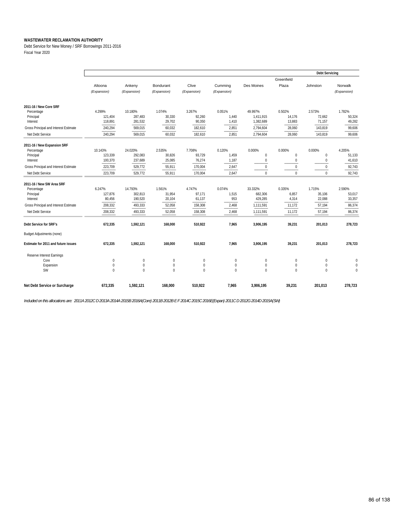Debt Service for New Money / SRF Borrowings 2011-2016 Fiscal Year 2020

|                                       |                          |              |              |             |             |                  |              | <b>Debt Servicing</b> |             |
|---------------------------------------|--------------------------|--------------|--------------|-------------|-------------|------------------|--------------|-----------------------|-------------|
|                                       |                          |              |              |             |             |                  | Greenfield   |                       |             |
|                                       | Altoona                  | Ankeny       | Bondurant    | Clive       | Cummina     | Des Moines       | Plaza        | Johnston              | Norwalk     |
|                                       | (Expansion)              | (Expansion)  | (Expansion)  | (Expansion) | (Expansion) |                  |              |                       | (Expansion) |
|                                       |                          |              |              |             |             |                  |              |                       |             |
| 2011-16 / New Core SRF                |                          |              |              |             |             |                  |              |                       |             |
| Percentage                            | 4.299%                   | 10.180%      | 1.074%       | 3.267%      | 0.051%      | 49.997%          | 0.502%       | 2.573%                | 1.782%      |
| Principal                             | 121,404                  | 287,483      | 30.330       | 92,260      | 1,440       | 1,411,915        | 14,176       | 72,662                | 50,324      |
| Interest                              | 118,891                  | 281,532      | 29,702       | 90,350      | 1,410       | 1,382,689        | 13,883       | 71,157                | 49,282      |
| Gross Principal and Interest Estimate | 240,294                  | 569,015      | 60,032       | 182,610     | 2,851       | 2,794,604        | 28,060       | 143,819               | 99,606      |
| Net Debt Service                      | 240,294                  | 569,015      | 60,032       | 182,610     | 2,851       | 2,794,604        | 28,060       | 143,819               | 99,606      |
|                                       |                          |              |              |             |             |                  |              |                       |             |
| 2011-16 / New Expansion SRF           |                          |              |              |             |             |                  |              |                       |             |
| Percentage                            | 10.143%                  | 24.020%      | 2.535%       | 7.708%      | 0.120%      | 0.000%           | 0.000%       | 0.000%                | 4.205%      |
| Principal                             | 123,339                  | 292,083      | 30,826       | 93,729      | 1,459       | 0                | $\mathbf 0$  | $\bf{0}$              | 51,133      |
| Interest                              | 100,370                  | 237,689      | 25,085       | 76,274      | 1,187       | $\boldsymbol{0}$ | $\mathbf{0}$ | $\mathbf 0$           | 41,610      |
| Gross Principal and Interest Estimate | 223,709                  | 529,772      | 55,911       | 170,004     | 2,647       | $\mathbf{0}$     | $\mathbf{0}$ | $\mathbf{0}$          | 92,743      |
| Net Debt Service                      | 223,709                  | 529,772      | 55,911       | 170,004     | 2,647       | $\mathbf 0$      | $\Omega$     | $\mathbf 0$           | 92,743      |
| 2011-16 / New SW Area SRF             |                          |              |              |             |             |                  |              |                       |             |
| Percentage                            | 6.247%                   | 14.793%      | 1.561%       | 4.747%      | 0.074%      | 33.332%          | 0.335%       | 1.715%                | 2.590%      |
| Principal                             | 127,876                  | 302,813      | 31,954       | 97,171      | 1,515       | 682,306          | 6,857        | 35,106                | 53,017      |
| Interest                              | 80,456                   | 190,520      | 20,104       | 61,137      | 953         | 429,285          | 4,314        | 22,088                | 33,357      |
| Gross Principal and Interest Estimate | 208,332                  | 493,333      | 52,058       | 158,308     | 2,468       | 1,111,591        | 11,172       | 57,194                | 86,374      |
| Net Debt Service                      | 208,332                  | 493,333      | 52,058       | 158,308     | 2,468       | 1,111,591        | 11,172       | 57,194                | 86,374      |
|                                       |                          |              |              |             |             |                  |              |                       |             |
| Debt Service for SRF's                | 672,335                  | 1,592,121    | 168,000      | 510,922     | 7,965       | 3,906,195        | 39,231       | 201,013               | 278,723     |
| <b>Budget Adjustments (none)</b>      |                          |              |              |             |             |                  |              |                       |             |
| Estimate for 2011 and future issues   | 672,335                  | 1.592.121    | 168,000      | 510,922     | 7,965       | 3,906,195        | 39,231       | 201,013               | 278,723     |
|                                       |                          |              |              |             |             |                  |              |                       |             |
| Reserve Interest Earnings<br>Core     |                          | $\mathbf{0}$ | $\mathbf{0}$ | $\mathbf 0$ | $\mathbf 0$ | $\mathbf 0$      | $\mathbf{0}$ | $\mathbf 0$           | $\mathbf 0$ |
| Expansion                             | $\mathbf 0$<br>$\pmb{0}$ | $\mathbf{0}$ | $\pmb{0}$    | $\mathbf 0$ | $\mathbf 0$ | $\mathbf 0$      | $\mathbf{0}$ | $\mathbf 0$           | $\mathbf 0$ |
| SW                                    | $\mathbf{0}$             | $\Omega$     | $\theta$     | $\mathbf 0$ | $\mathbf 0$ | $\mathbf{0}$     | $\mathbf 0$  | $\mathbf 0$           | $\mathbf 0$ |
|                                       |                          |              |              |             |             |                  |              |                       |             |
| Net Debt Service or Surcharge         | 672,335                  | 1,592,121    | 168,000      | 510,922     | 7,965       | 3,906,195        | 39,231       | 201,013               | 278,723     |
|                                       |                          |              |              |             |             |                  |              |                       |             |

*Included on this allocations are: 2011A 2012C D 2013A 2014A 2015B 2016A(Core) 2011B 2012B E F 2014C 2015C 2016E(Expan) 2011C D 2012G 2014D 2015A(SW)*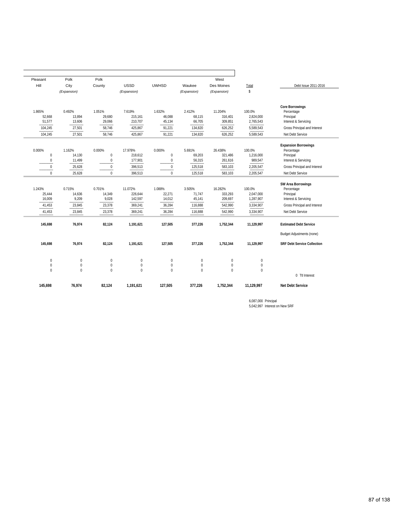|                                                                                                              |                                               | West                                     |                                       |                                      |                                          | Polk                                | Polk                                | Pleasant                             |
|--------------------------------------------------------------------------------------------------------------|-----------------------------------------------|------------------------------------------|---------------------------------------|--------------------------------------|------------------------------------------|-------------------------------------|-------------------------------------|--------------------------------------|
| Debt Issue 2011-2016                                                                                         | Total                                         | Des Moines                               | Waukee                                | <b>UWHSD</b>                         | <b>USSD</b>                              | County                              | City                                | Hill                                 |
|                                                                                                              | \$                                            | (Expansion)                              | (Expansion)                           |                                      | (Expansion)                              |                                     | (Expansion)                         |                                      |
| <b>Core Borrowings</b><br>Percentage<br>Principal<br>Interest & Servicing                                    | 100.0%<br>2,824,000<br>2,765,543              | 11.204%<br>316,401<br>309,851            | 2.412%<br>68,115<br>66,705            | 1.632%<br>46,088<br>45,134           | 7.619%<br>215,161<br>210,707             | 1.051%<br>29,680<br>29,066          | 0.492%<br>13,894<br>13,606          | 1.865%<br>52,668<br>51,577           |
| Gross Principal and Interest                                                                                 | 5,589,543                                     | 626,252                                  | 134,820                               | 91,221                               | 425,867                                  | 58,746                              | 27,501                              | 104,245                              |
| Net Debt Service                                                                                             | 5,589,543                                     | 626,252                                  | 134,820                               | 91,221                               | 425,867                                  | 58,746                              | 27,501                              | 104,245                              |
| <b>Expansion Borrowings</b><br>Percentage<br>Principal<br>Interest & Servicing                               | 100.0%<br>1,216,000<br>989,547                | 26.438%<br>321,486<br>261,616            | 5.691%<br>69,203<br>56,315            | 0.000%<br>$\bf 0$<br>$\bf 0$         | 17.978%<br>218,612<br>177,901            | 0.000%<br>$\bf 0$<br>$\pmb{0}$      | 1.162%<br>14,130<br>11,499          | 0.000%<br>$\pmb{0}$<br>$\mathbf 0$   |
| Gross Principal and Interest                                                                                 | 2,205,547                                     | 583,103                                  | 125,518                               | $\bf 0$                              | 396,513                                  | $\pmb{0}$                           | 25,628                              | 0                                    |
| Net Debt Service                                                                                             | 2,205,547                                     | 583,103                                  | 125,518                               | $\mathbf{0}$                         | 396,513                                  | $\mathbf 0$                         | 25,628                              | $\Omega$                             |
| <b>SW Area Borrowings</b><br>Percentage<br>Principal<br>Interest & Servicing<br>Gross Principal and Interest | 100.0%<br>2,047,000<br>1,287,907<br>3,334,907 | 16.282%<br>333,293<br>209,697<br>542,990 | 3.505%<br>71,747<br>45,141<br>116,888 | 1.088%<br>22,271<br>14,012<br>36,284 | 11.072%<br>226,644<br>142,597<br>369,241 | 0.701%<br>14,349<br>9,028<br>23,378 | 0.715%<br>14,636<br>9,209<br>23,845 | 1.243%<br>25,444<br>16,009<br>41,453 |
| Net Debt Service                                                                                             | 3,334,907                                     | 542,990                                  | 116,888                               | 36,284                               | 369,241                                  | 23,378                              | 23,845                              | 41,453                               |
| <b>Estimated Debt Service</b>                                                                                | 11,129,997                                    | 1,752,344                                | 377,226                               | 127,505                              | 1,191,621                                | 82,124                              | 76,974                              | 145,698                              |
| <b>Budget Adjustments (none)</b>                                                                             |                                               |                                          |                                       |                                      |                                          |                                     |                                     |                                      |
| <b>SRF Debt Service Collection</b>                                                                           | 11,129,997                                    | 1,752,344                                | 377,226                               | 127,505                              | 1,191,621                                | 82,124                              | 76,974                              | 145,698                              |
|                                                                                                              | 0                                             | $\boldsymbol{0}$                         | $\pmb{0}$                             | $\mathbf 0$                          | $\pmb{0}$                                | $\bf{0}$                            | $\pmb{0}$                           | $\pmb{0}$                            |
|                                                                                                              | $\mathbf 0$<br>$\theta$                       | $\mathbf 0$<br>$\Omega$                  | $\pmb{0}$<br>$\theta$                 | $\bf 0$<br>$\Omega$                  | $\boldsymbol{0}$<br>$\Omega$             | $\mathbf{0}$<br>$\Omega$            | $\pmb{0}$<br>$\theta$               | $\mathbf 0$<br>$\Omega$              |
| 0 Ttl Interest                                                                                               |                                               |                                          |                                       |                                      |                                          |                                     |                                     |                                      |
|                                                                                                              |                                               | 1,752,344                                | 377,226                               | 127,505                              | 1,191,621                                | 82,124                              | 76,974                              | 145,698                              |

6,087,000 Principal 5,042,997 Interest on New SRF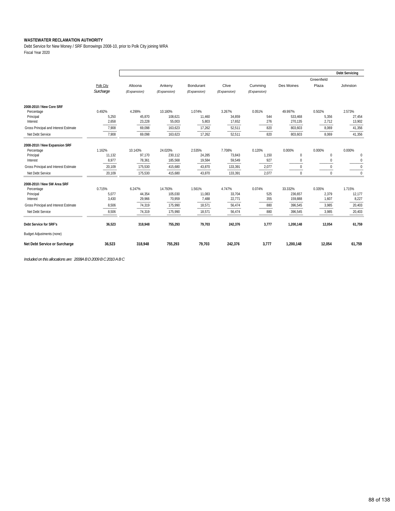Debt Service for New Money / SRF Borrowings 2008-10, prior to Polk City joining WRA Fiscal Year 2020

|                                       |           |             |             |             |             |             |             |              | <b>Debt Servicing</b> |
|---------------------------------------|-----------|-------------|-------------|-------------|-------------|-------------|-------------|--------------|-----------------------|
|                                       |           |             |             |             |             |             |             | Greenfield   |                       |
|                                       | Polk City | Altoona     | Ankeny      | Bondurant   | Clive       | Cumming     | Des Moines  | Plaza        | Johnston              |
|                                       | Surcharge | (Expansion) | (Expansion) | (Expansion) | (Expansion) | (Expansion) |             |              |                       |
| 2008-2010 / New Core SRF              |           |             |             |             |             |             |             |              |                       |
| Percentage                            | 0.492%    | 4.299%      | 10.180%     | 1.074%      | 3.267%      | 0.051%      | 49.997%     | 0.502%       | 2.573%                |
| Principal                             | 5,250     | 45,870      | 108,621     | 11,460      | 34,859      | 544         | 533,468     | 5,356        | 27,454                |
| Interest                              | 2,658     | 23,228      | 55,003      | 5,803       | 17,652      | 276         | 270,135     | 2,712        | 13,902                |
| Gross Principal and Interest Estimate | 7,908     | 69,098      | 163,623     | 17,262      | 52,511      | 820         | 803,603     | 8,069        | 41,356                |
| Net Debt Service                      | 7,908     | 69,098      | 163,623     | 17,262      | 52,511      | 820         | 803,603     | 8,069        | 41,356                |
| 2008-2010 / New Expansion SRF         |           |             |             |             |             |             |             |              |                       |
| Percentage                            | 1.162%    | 10.143%     | 24.020%     | 2.535%      | 7.708%      | 0.120%      | 0.000%      | 0.000%       | 0.000%                |
| Principal                             | 11,132    | 97,170      | 230,112     | 24,285      | 73,843      | 1,150       | $\mathbf 0$ | $\mathbf{0}$ | 0                     |
| Interest                              | 8,977     | 78,361      | 185,568     | 19,584      | 59,549      | 927         | $\mathbf 0$ | $\mathbf{0}$ | 0                     |
| Gross Principal and Interest Estimate | 20,109    | 175,530     | 415,680     | 43,870      | 133,391     | 2,077       | $\Omega$    | $\mathbf{0}$ | $\boldsymbol{0}$      |
| Net Debt Service                      | 20,109    | 175,530     | 415,680     | 43,870      | 133,391     | 2,077       | $\Omega$    | $\Omega$     | $\Omega$              |
| 2008-2010 / New SW Area SRF           |           |             |             |             |             |             |             |              |                       |
| Percentage                            | 0.715%    | 6.247%      | 14.793%     | 1.561%      | 4.747%      | 0.074%      | 33.332%     | 0.335%       | 1.715%                |
| Principal                             | 5,077     | 44,354      | 105,030     | 11,083      | 33,704      | 525         | 236,657     | 2,379        | 12,177                |
| Interest                              | 3.430     | 29,966      | 70,959      | 7,488       | 22,771      | 355         | 159,888     | 1,607        | 8,227                 |
| Gross Principal and Interest Estimate | 8.506     | 74,319      | 175,990     | 18,571      | 56,474      | 880         | 396,545     | 3,985        | 20,403                |
| Net Debt Service                      | 8,506     | 74,319      | 175,990     | 18,571      | 56,474      | 880         | 396,545     | 3,985        | 20,403                |
| Debt Service for SRF's                | 36,523    | 318,948     | 755,293     | 79,703      | 242,376     | 3,777       | 1,200,148   | 12,054       | 61,759                |
| <b>Budget Adjustments (none)</b>      |           |             |             |             |             |             |             |              |                       |
| Net Debt Service or Surcharge         | 36,523    | 318,948     | 755,293     | 79,703      | 242,376     | 3,777       | 1,200,148   | 12,054       | 61,759                |

*Included on this allocations are: 2008A B D 2009 B C 2010 A B C*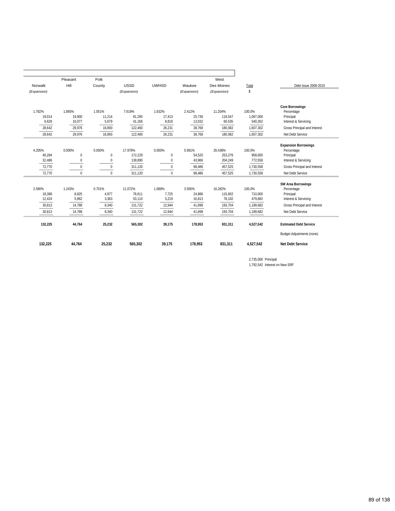|             | Pleasant     | Polk         |             |              |             | West        |           |                                  |
|-------------|--------------|--------------|-------------|--------------|-------------|-------------|-----------|----------------------------------|
| Norwalk     | Hill         | County       | <b>USSD</b> | <b>UWHSD</b> | Waukee      | Des Moines  | Total     | Debt Issue 2008-2010             |
| (Expansion) |              |              | (Expansion) |              | (Expansion) | (Expansion) | \$        |                                  |
|             |              |              |             |              |             |             |           | <b>Core Borrowings</b>           |
| 1.782%      | 1.865%       | 1.051%       | 7.619%      | 1.632%       | 2.412%      | 11.204%     | 100.0%    | Percentage                       |
| 19,014      | 19,900       | 11,214       | 81,295      | 17,413       | 25,736      | 119,547     | 1,067,000 | Principal                        |
| 9,628       | 10,077       | 5,679        | 41,166      | 8,818        | 13,032      | 60,535      | 540,302   | Interest & Servicing             |
| 28,642      | 29,976       | 16,893       | 122,460     | 26,231       | 38,768      | 180,082     | 1,607,302 | Gross Principal and Interest     |
| 28.642      | 29.976       | 16.893       | 122,460     | 26,231       | 38,768      | 180.082     | 1.607.302 | Net Debt Service                 |
|             |              |              |             |              |             |             |           | <b>Expansion Borrowings</b>      |
| 4.205%      | 0.000%       | 0.000%       | 17.978%     | 0.000%       | 5.691%      | 26.438%     | 100.0%    | Percentage                       |
| 40,284      | $\mathbf{0}$ | $\mathbf{0}$ | 172,229     | $\mathbf{0}$ | 54,520      | 253,276     | 958,000   | Principal                        |
| 32,486      | $\mathbf{0}$ | $\mathbf{0}$ | 138,890     | $\mathbf 0$  | 43,966      | 204,249     | 772,558   | Interest & Servicing             |
| 72,770      | $\Omega$     | $\mathbf{0}$ | 311,120     | $\mathbf{0}$ | 98,486      | 457,525     | 1,730,558 | Gross Principal and Interest     |
| 72,770      | $\Omega$     | $\Omega$     | 311,120     | $\mathbf{0}$ | 98,486      | 457,525     | 1,730,558 | Net Debt Service                 |
|             |              |              |             |              |             |             |           | <b>SW Area Borrowings</b>        |
| 2.590%      | 1.243%       | 0.701%       | 11.072%     | 1.088%       | 3.505%      | 16.282%     | 100.0%    | Percentage                       |
| 18,389      | 8,825        | 4.977        | 78,611      | 7,725        | 24,886      | 115,602     | 710,000   | Principal                        |
| 12,424      | 5,962        | 3,363        | 53,110      | 5,219        | 16,813      | 78,102      | 479,682   | Interest & Servicing             |
| 30,813      | 14,788       | 8,340        | 131,722     | 12,944       | 41,698      | 193,704     | 1,189,682 | Gross Principal and Interest     |
| 30,813      | 14,788       | 8,340        | 131,722     | 12,944       | 41,698      | 193,704     | 1,189,682 | Net Debt Service                 |
| 132,225     | 44,764       | 25,232       | 565,302     | 39,175       | 178,953     | 831,311     | 4,527,542 | <b>Estimated Debt Service</b>    |
|             |              |              |             |              |             |             |           | <b>Budget Adjustments (none)</b> |
| 132,225     | 44.764       | 25,232       | 565,302     | 39.175       | 178,953     | 831,311     | 4,527,542 | <b>Net Debt Service</b>          |

2,735,000 Principal 1,792,542 Interest on New SRF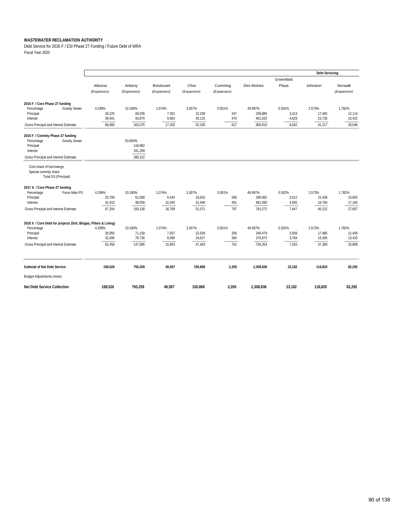Debt Service for 2016 F / ESI Phase 27 Funding / Future Debt of WRA Fiscal Year 2020

|                                                                          |             |             |             |             |             |            |            | <b>Debt Servicing</b> |             |
|--------------------------------------------------------------------------|-------------|-------------|-------------|-------------|-------------|------------|------------|-----------------------|-------------|
|                                                                          |             |             |             |             |             |            | Greenfield |                       |             |
|                                                                          | Altoona     | Ankeny      | Bondurant   | Clive       | Cumming     | Des Moines | Plaza      | Johnston              | Norwalk     |
|                                                                          | (Expansion) | (Expansion) | (Expansion) | (Expansion) | (Expansion) |            |            |                       | (Expansion) |
| 2016 F / Core Phase 27 funding                                           |             |             |             |             |             |            |            |                       |             |
| <b>Gravity Sewer</b><br>Percentage                                       | 4.299%      | 10.180%     | 1.074%      | 3.267%      | 0.051%      | 49.997%    | 0.502%     | 2.573%                | 1.782%      |
| Principal                                                                | 29,225      | 69,205      | 7,301       | 22,209      | 347         | 339,885    | 3,413      | 17,492                | 12,114      |
| Interest                                                                 | 39,641      | 93,870      | 9,903       | 30,125      | 470         | 461,025    | 4,629      | 23,726                | 16,432      |
| Gross Principal and Interest Estimate                                    | 68.866      | 163.075     | 17,205      | 52,335      | 817         | 800,910    | 8,042      | 41,217                | 28,546      |
| 2016 F / Commty Phase 27 funding                                         |             |             |             |             |             |            |            |                       |             |
| <b>Gravity Sewer</b><br>Percentage                                       |             | 63.850%     |             |             |             |            |            |                       |             |
| Principal                                                                |             | 118,882     |             |             |             |            |            |                       |             |
| Interest                                                                 |             | 161,269     |             |             |             |            |            |                       |             |
| Gross Principal and Interest Estimate                                    |             | 280.152     |             |             |             |            |            |                       |             |
| Core share of borrowings<br>Special commty share<br>Total DS (Principal) |             |             |             |             |             |            |            |                       |             |
| 2017 A / Core Phase 27 funding                                           |             |             |             |             |             |            |            |                       |             |
| Percentage<br>Force Main PS                                              | 4.299%      | 10.180%     | 1.074%      | 3.267%      | 0.051%      | 49.997%    | 0.502%     | 2.573%                | 1.782%      |
| Principal                                                                | 25,794      | 61,080      | 6,444       | 19,602      | 306         | 299,982    | 3,012      | 15,438                | 10,692      |
| Interest                                                                 | 41,410      | 98,058      | 10,345      | 31,469      | 491         | 481,590    | 4,835      | 24,784                | 17,165      |
| Gross Principal and Interest Estimate                                    | 67,204      | 159,138     | 16.789      | 51,071      | 797         | 781,572    | 7,847      | 40,222                | 27,857      |
| 2018 X / Core Debt for projects (Grit, Biogas, Filters & Lining)         |             |             |             |             |             |            |            |                       |             |
| Percentage                                                               | 4.299%      | 10.180%     | 1.074%      | 3.267%      | 0.051%      | 49.997%    | 0.502%     | 2.573%                | 1.782%      |
| Principal                                                                | 30,050      | 71,158      | 7,507       | 22,836      | 356         | 349,479    | 3,509      | 17,985                | 12,456      |
| Interest                                                                 | 32,406      | 76,736      | 8,096       | 24,627      | 384         | 376,875    | 3,784      | 19,395                | 13,433      |
| Gross Principal and Interest Estimate                                    | 62,456      | 147,895     | 15,603      | 47,463      | 741         | 726,354    | 7,293      | 37,380                | 25,889      |
| Subtotal of Net Debt Service                                             | 198,526     | 750,259     | 49,597      | 150,868     | 2,355       | 2,308,836  | 23,182     | 118,820               | 82,292      |
| <b>Budget Adjustments (none)</b>                                         |             |             |             |             |             |            |            |                       |             |
| <b>Net Debt Service Collection</b>                                       | 198,526     | 750,259     | 49,597      | 150,868     | 2,355       | 2,308,836  | 23,182     | 118,820               | 82,292      |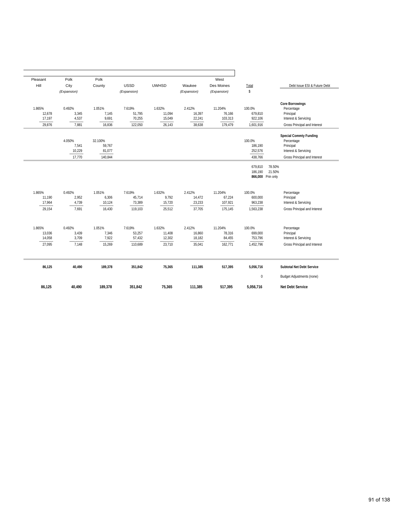| Pleasant | Polk            | Polk             |             |              |             | West        |                    |                                      |
|----------|-----------------|------------------|-------------|--------------|-------------|-------------|--------------------|--------------------------------------|
| Hill     | City            | County           | <b>USSD</b> | <b>UWHSD</b> | Waukee      | Des Moines  | Total              | Debt Issue ESI & Future Debt         |
|          | (Expansion)     |                  | (Expansion) |              | (Expansion) | (Expansion) | \$                 |                                      |
|          |                 |                  |             |              |             |             |                    |                                      |
| 1.865%   | 0.492%          | 1.051%           | 7.619%      | 1.632%       | 2.412%      | 11.204%     | 100.0%             | <b>Core Borrowings</b><br>Percentage |
| 12,678   | 3,345           | 7,145            | 51,795      | 11,094       | 16,397      | 76,166      | 679,810            | Principal                            |
| 17,197   | 4,537           | 9,691            | 70,255      | 15,049       | 22,241      | 103,313     | 922,106            | Interest & Servicing                 |
| 29,876   | 7.881           | 16,836           | 122,050     | 26,143       | 38,638      | 179,479     | 1,601,916          | Gross Principal and Interest         |
|          |                 |                  |             |              |             |             |                    |                                      |
|          |                 |                  |             |              |             |             |                    | <b>Special Commty Funding</b>        |
|          | 4.050%          | 32.100%          |             |              |             |             | 100.0%             | Percentage                           |
|          | 7,541<br>10,229 | 59,767<br>81,077 |             |              |             |             | 186,190<br>252,576 | Principal<br>Interest & Servicing    |
|          | 17,770          | 140,844          |             |              |             |             | 438,766            | Gross Principal and Interest         |
|          |                 |                  |             |              |             |             |                    |                                      |
|          |                 |                  |             |              |             |             | 679,810            | 78.50%                               |
|          |                 |                  |             |              |             |             | 186,190            | 21.50%<br>866,000 Prin only          |
|          |                 |                  |             |              |             |             |                    |                                      |
| 1.865%   | 0.492%          | 1.051%           | 7.619%      | 1.632%       | 2.412%      | 11.204%     | 100.0%             | Percentage                           |
| 11,190   | 2,952           | 6,306            | 45,714      | 9,792        | 14,472      | 67,224      | 600,000            | Principal                            |
| 17,964   | 4,739           | 10,124           | 73,389      | 15,720       | 23,233      | 107,921     | 963,238            | Interest & Servicing                 |
| 29,154   | 7.691           | 16,430           | 119,103     | 25,512       | 37,705      | 175,145     | 1,563,238          | Gross Principal and Interest         |
|          |                 |                  |             |              |             |             |                    |                                      |
| 1.865%   | 0.492%          | 1.051%           | 7.619%      | 1.632%       | 2.412%      | 11.204%     | 100.0%             | Percentage                           |
| 13,036   | 3,439           | 7,346            | 53,257      | 11,408       | 16,860      | 78,316      | 699,000            | Principal                            |
| 14,058   | 3,709           | 7,922            | 57,432      | 12,302       | 18,182      | 84,455      | 753,796            | Interest & Servicing                 |
| 27,095   | 7,148           | 15,269           | 110,689     | 23,710       | 35,041      | 162,771     | 1,452,796          | Gross Principal and Interest         |
| 86,125   | 40,490          | 189,378          | 351,842     | 75,365       | 111,385     | 517,395     | 5,056,716          | Subtotal Net Debt Service            |
|          |                 |                  |             |              |             |             | $\boldsymbol{0}$   | Budget Adjustments (none)            |
|          | 40,490          | 189,378          | 351,842     | 75,365       | 111,385     | 517,395     | 5,056,716          | <b>Net Debt Service</b>              |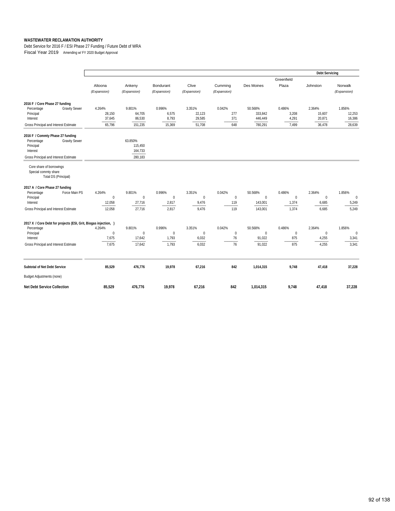Debt Service for 2016 F / ESI Phase 27 Funding / Future Debt of WRA Fiscal Year 2019 Amending w/ FY 2020 Budget Approval

|                                                                                                                                          |                                           |                                            |                                            |                                         |                                   |                                          |                                          | <b>Debt Servicing</b>                    |                                      |
|------------------------------------------------------------------------------------------------------------------------------------------|-------------------------------------------|--------------------------------------------|--------------------------------------------|-----------------------------------------|-----------------------------------|------------------------------------------|------------------------------------------|------------------------------------------|--------------------------------------|
|                                                                                                                                          | Altoona<br>(Expansion)                    | Ankeny<br>(Expansion)                      | Bondurant<br>(Expansion)                   | Clive<br>(Expansion)                    | Cumming<br>(Expansion)            | Des Moines                               | Greenfield<br>Plaza                      | Johnston                                 | Norwalk<br>(Expansion)               |
| 2016 F / Core Phase 27 funding<br>Percentage<br><b>Gravity Sewer</b><br>Principal<br>Interest<br>Gross Principal and Interest Estimate   | 4.264%<br>28,150<br>37,645<br>65,796      | 9.801%<br>64,705<br>86,530<br>151,235      | 0.996%<br>6,575<br>8,793<br>15,369         | 3.351%<br>22,123<br>29,585<br>51,708    | 0.042%<br>277<br>371<br>648       | 50.568%<br>333,842<br>446,449<br>780,291 | 0.486%<br>3,208<br>4,291<br>7,499        | 2.364%<br>15,607<br>20,871<br>36,478     | 1.856%<br>12,253<br>16,386<br>28,639 |
| 2016 F / Commty Phase 27 funding<br><b>Gravity Sewer</b><br>Percentage<br>Principal<br>Interest<br>Gross Principal and Interest Estimate |                                           | 63.850%<br>115,450<br>164,733<br>280,183   |                                            |                                         |                                   |                                          |                                          |                                          |                                      |
| Core share of borrowings<br>Special commty share<br><b>Total DS (Principal)</b>                                                          |                                           |                                            |                                            |                                         |                                   |                                          |                                          |                                          |                                      |
| 2017 A / Core Phase 27 funding<br>Force Main PS<br>Percentage<br>Principal<br>Interest<br>Gross Principal and Interest Estimate          | 4.264%<br>$\mathbf 0$<br>12,058<br>12,058 | 9.801%<br>$\mathbf{0}$<br>27,716<br>27,716 | 0.996%<br>$\overline{0}$<br>2,817<br>2,817 | 3.351%<br>$\mathbf 0$<br>9,476<br>9,476 | 0.042%<br>$\pmb{0}$<br>119<br>119 | 50.568%<br>0<br>143,001<br>143,001       | 0.486%<br>$\mathbf{0}$<br>1,374<br>1,374 | 2.364%<br>$\mathbf{0}$<br>6,685<br>6,685 | 1.856%<br>$\bf{0}$<br>5,249<br>5,249 |
| 2017 X / Core Debt for projects (ESI, Grit, Biogas injection, )<br>Percentage<br>Principal<br>Interest                                   | 4.264%<br>$\mathbf 0$<br>7,675            | 9.801%<br>$\mathbf 0$<br>17,642            | 0.996%<br>$\mathbf 0$<br>1,793             | 3.351%<br>0<br>6,032                    | 0.042%<br>$\bf{0}$<br>76          | 50.568%<br>$\mathbf 0$<br>91,022         | 0.486%<br>$\mathbf 0$<br>875             | 2.364%<br>$\mathbf 0$<br>4,255           | 1.856%<br>$\mathbf 0$<br>3,341       |
| Gross Principal and Interest Estimate                                                                                                    | 7,675                                     | 17,642                                     | 1,793                                      | 6,032                                   | 76                                | 91,022                                   | 875                                      | 4,255                                    | 3,341                                |
| Subtotal of Net Debt Service<br><b>Budget Adjustments (none)</b>                                                                         | 85,529                                    | 476,776                                    | 19,978                                     | 67,216                                  | 842                               | 1,014,315                                | 9,748                                    | 47,418                                   | 37,228                               |
| <b>Net Debt Service Collection</b>                                                                                                       | 85,529                                    | 476,776                                    | 19,978                                     | 67,216                                  | 842                               | 1,014,315                                | 9,748                                    | 47,418                                   | 37,228                               |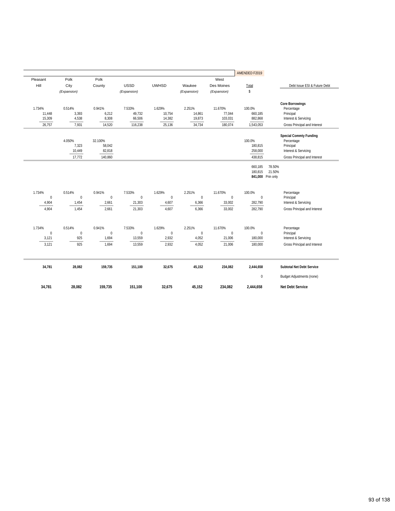|              |                 |                   |              |              |              |             | AMENDED F2019 |                                      |
|--------------|-----------------|-------------------|--------------|--------------|--------------|-------------|---------------|--------------------------------------|
| Pleasant     | Polk            | Polk              |              |              |              | West        |               |                                      |
| Hill         | City            | County            | <b>USSD</b>  | <b>UWHSD</b> | Waukee       | Des Moines  | Total         | Debt Issue ESI & Future Debt         |
|              | (Expansion)     |                   | (Expansion)  |              | (Expansion)  | (Expansion) | \$            |                                      |
|              |                 |                   |              |              |              |             |               |                                      |
| 1.734%       | 0.514%          | 0.941%            | 7.533%       | 1.629%       | 2.251%       | 11.670%     | 100.0%        | <b>Core Borrowings</b><br>Percentage |
| 11,448       | 3,393           | 6,212             | 49,732       | 10,754       | 14,861       | 77,044      | 660,185       | Principal                            |
| 15,309       | 4,538           | 8,308             | 66,506       | 14,382       | 19,873       | 103,031     | 882,868       | Interest & Servicing                 |
| 26,757       | 7,931           | 14,520            | 116,238      | 25,136       | 34,734       | 180,074     | 1,543,053     | Gross Principal and Interest         |
|              |                 |                   |              |              |              |             |               |                                      |
|              |                 |                   |              |              |              |             | 100.0%        | <b>Special Commty Funding</b>        |
|              | 4.050%<br>7,323 | 32.100%<br>58,042 |              |              |              |             | 180,815       | Percentage<br>Principal              |
|              | 10,449          | 82,818            |              |              |              |             | 258,000       | Interest & Servicing                 |
|              | 17,772          | 140,860           |              |              |              |             | 438,815       | Gross Principal and Interest         |
|              |                 |                   |              |              |              |             |               |                                      |
|              |                 |                   |              |              |              |             | 660,185       | 78.50%                               |
|              |                 |                   |              |              |              |             | 180,815       | 21.50%                               |
|              |                 |                   |              |              |              |             |               | 841,000 Prin only                    |
| 1.734%       | 0.514%          | 0.941%            | 7.533%       | 1.629%       | 2.251%       | 11.670%     | 100.0%        | Percentage                           |
| $\mathbf{0}$ | $\mathbf{0}$    | $\mathbf{0}$      | $\mathbf{0}$ | $\mathbf{0}$ | $\mathbf{0}$ | $\mathbf 0$ | $\mathbf{0}$  | Principal                            |
| 4,904        | 1,454           | 2,661             | 21,303       | 4,607        | 6,366        | 33,002      | 282,790       | Interest & Servicing                 |
| 4,904        | 1,454           | 2,661             | 21,303       | 4,607        | 6,366        | 33,002      | 282,790       | Gross Principal and Interest         |
|              |                 |                   |              |              |              |             |               |                                      |
| 1.734%       | 0.514%          | 0.941%            | 7.533%       | 1.629%       | 2.251%       | 11.670%     | 100.0%        | Percentage                           |
| $\mathbf 0$  | $\pmb{0}$       | $\mathbf{0}$      | $\mathbf{0}$ | $\pmb{0}$    | $\bf 0$      | $\mathbf 0$ | $\mathbf 0$   | Principal                            |
| 3,121        | 925             | 1,694             | 13,559       | 2,932        | 4,052        | 21,006      | 180,000       | Interest & Servicing                 |
| 3,121        | 925             | 1,694             | 13,559       | 2,932        | 4,052        | 21,006      | 180,000       | Gross Principal and Interest         |
| 34,781       | 28,082          | 159,735           | 151,100      | 32,675       | 45,152       | 234,082     | 2,444,658     | Subtotal Net Debt Service            |
|              |                 |                   |              |              |              |             | $\bf{0}$      | <b>Budget Adjustments (none)</b>     |
| 34,781       | 28,082          | 159,735           | 151,100      | 32,675       | 45,152       | 234,082     | 2,444,658     | Net Debt Service                     |